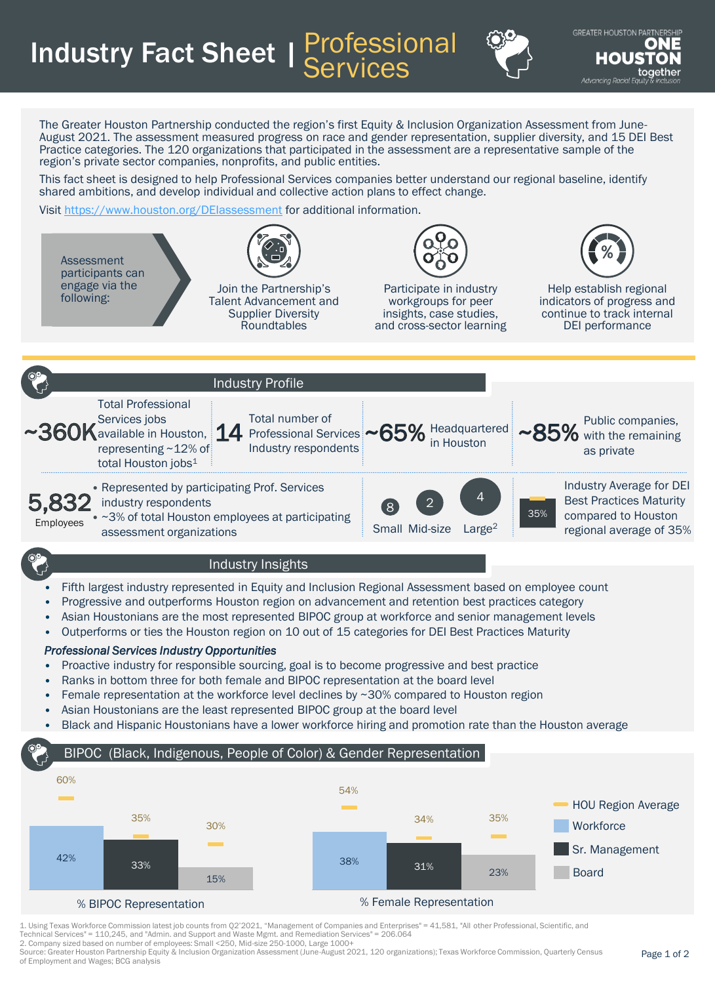Industry Fact Sheet | Professional **Services** 



**GREATER HOUSTON PARTI** o Advancina Racial Eau

The Greater Houston Partnership conducted the region's first Equity & Inclusion Organization Assessment from June-August 2021. The assessment measured progress on race and gender representation, supplier diversity, and 15 DEI Best Practice categories. The 120 organizations that participated in the assessment are a representative sample of the region's private sector companies, nonprofits, and public entities.

This fact sheet is designed to help Professional Services companies better understand our regional baseline, identify shared ambitions, and develop individual and collective action plans to effect change.

Visit <https://www.houston.org/DEIassessment> for additional information.



% BIPOC Representation % Female Representation

33%

23%

1. Using Texas Workforce Commission latest job counts from Q2'2021, "Management of Companies and Enterprises" = 41,581, "All other Professional, Scientific, and Technical Services" = 110,245, and "Admin. and Support and Waste Mgmt. and Remediation Services" = 206.064

2. Company sized based on number of employees: Small <250, Mid-size 250-1000, Large 1000+

15%

Source: Greater Houston Partnership Equity & Inclusion Organization Assessment (June-August 2021, 120 organizations); Texas Workforce Commission, Quarterly Census of Employment and Wages; BCG analysis

Board